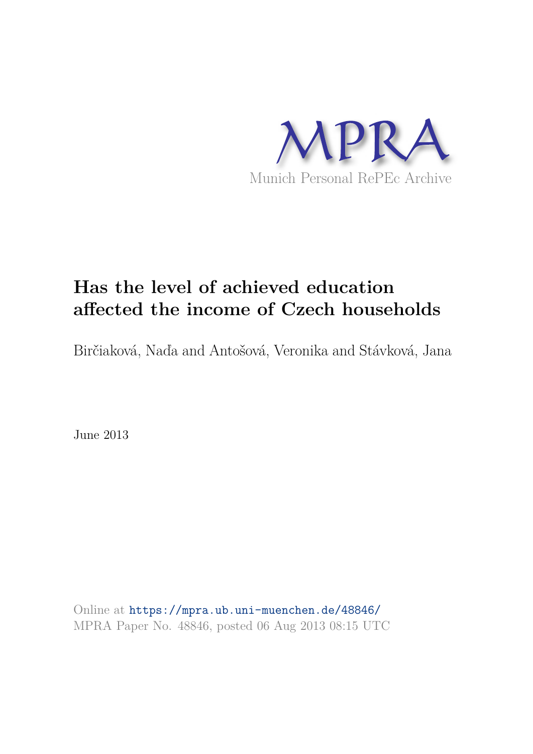

# **Has the level of achieved education affected the income of Czech households**

Birčiaková, Naďa and Antošová, Veronika and Stávková, Jana

June 2013

Online at https://mpra.ub.uni-muenchen.de/48846/ MPRA Paper No. 48846, posted 06 Aug 2013 08:15 UTC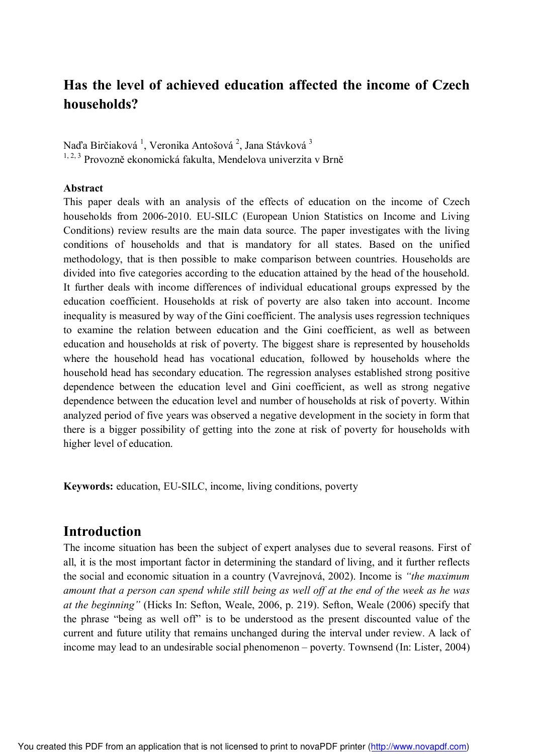# **Has the level of achieved education affected the income of Czech households?**

Naďa Birčiaková <sup>1</sup>, Veronika Antošová <sup>2</sup>, Jana Stávková <sup>3</sup> <sup>1, 2, 3</sup> Provozně ekonomická fakulta, Mendelova univerzita v Brně

#### **Abstract**

This paper deals with an analysis of the effects of education on the income of Czech households from 2006-2010. EU-SILC (European Union Statistics on Income and Living Conditions) review results are the main data source. The paper investigates with the living conditions of households and that is mandatory for all states. Based on the unified methodology, that is then possible to make comparison between countries. Households are divided into five categories according to the education attained by the head of the household. It further deals with income differences of individual educational groups expressed by the education coefficient. Households at risk of poverty are also taken into account. Income inequality is measured by way of the Gini coefficient. The analysis uses regression techniques to examine the relation between education and the Gini coefficient, as well as between education and households at risk of poverty. The biggest share is represented by households where the household head has vocational education, followed by households where the household head has secondary education. The regression analyses established strong positive dependence between the education level and Gini coefficient, as well as strong negative dependence between the education level and number of households at risk of poverty. Within analyzed period of five years was observed a negative development in the society in form that there is a bigger possibility of getting into the zone at risk of poverty for households with higher level of education.

**Keywords:** education, EU-SILC, income, living conditions, poverty

### **Introduction**

The income situation has been the subject of expert analyses due to several reasons. First of all, it is the most important factor in determining the standard of living, and it further reflects the social and economic situation in a country (Vavrejnová, 2002). Income is *"the maximum amount that a person can spend while still being as well off at the end of the week as he was at the beginning"* (Hicks In: Sefton, Weale, 2006, p. 219). Sefton, Weale (2006) specify that the phrase "being as well off" is to be understood as the present discounted value of the current and future utility that remains unchanged during the interval under review. A lack of income may lead to an undesirable social phenomenon – poverty. Townsend (In: Lister, 2004)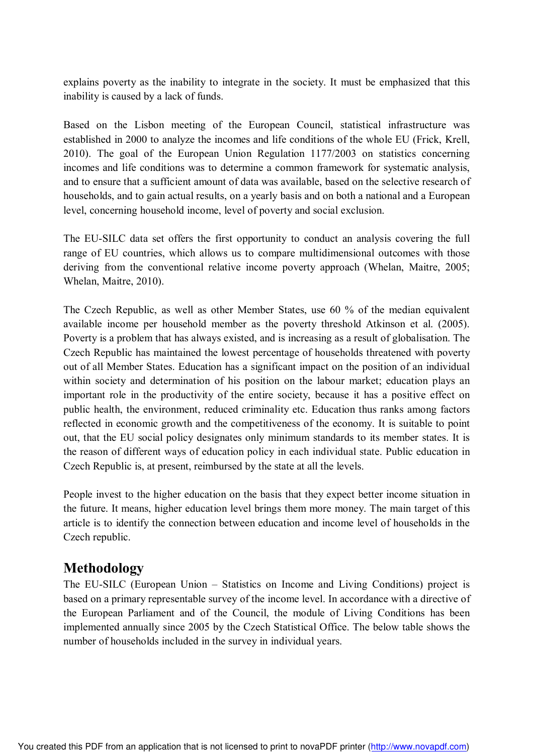explains poverty as the inability to integrate in the society. It must be emphasized that this inability is caused by a lack of funds.

Based on the Lisbon meeting of the European Council, statistical infrastructure was established in 2000 to analyze the incomes and life conditions of the whole EU (Frick, Krell, 2010). The goal of the European Union Regulation 1177/2003 on statistics concerning incomes and life conditions was to determine a common framework for systematic analysis, and to ensure that a sufficient amount of data was available, based on the selective research of households, and to gain actual results, on a yearly basis and on both a national and a European level, concerning household income, level of poverty and social exclusion.

The EU-SILC data set offers the first opportunity to conduct an analysis covering the full range of EU countries, which allows us to compare multidimensional outcomes with those deriving from the conventional relative income poverty approach (Whelan, Maitre, 2005; Whelan, Maitre, 2010).

The Czech Republic, as well as other Member States, use 60 % of the median equivalent available income per household member as the poverty threshold Atkinson et al. (2005). Poverty is a problem that has always existed, and is increasing as a result of globalisation. The Czech Republic has maintained the lowest percentage of households threatened with poverty out of all Member States. Education has a significant impact on the position of an individual within society and determination of his position on the labour market; education plays an important role in the productivity of the entire society, because it has a positive effect on public health, the environment, reduced criminality etc. Education thus ranks among factors reflected in economic growth and the competitiveness of the economy. It is suitable to point out, that the EU social policy designates only minimum standards to its member states. It is the reason of different ways of education policy in each individual state. Public education in Czech Republic is, at present, reimbursed by the state at all the levels.

People invest to the higher education on the basis that they expect better income situation in the future. It means, higher education level brings them more money. The main target of this article is to identify the connection between education and income level of households in the Czech republic.

## **Methodology**

The EU-SILC (European Union – Statistics on Income and Living Conditions) project is based on a primary representable survey of the income level. In accordance with a directive of the European Parliament and of the Council, the module of Living Conditions has been implemented annually since 2005 by the Czech Statistical Office. The below table shows the number of households included in the survey in individual years.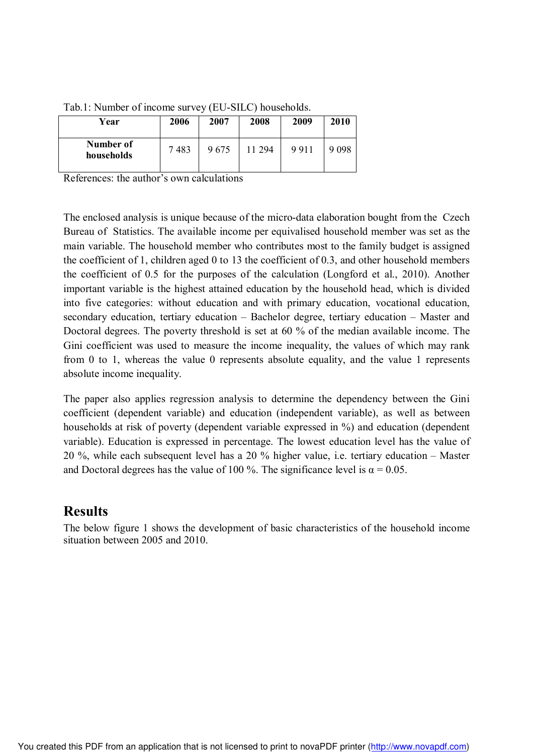| Year                    | 2006 | 2007 | 2008   | 2009 | 2010  |
|-------------------------|------|------|--------|------|-------|
| Number of<br>households | 7483 | 9675 | 11 294 | 9911 | 9 098 |

Tab.1: Number of income survey (EU-SILC) households.

References: the author's own calculations

The enclosed analysis is unique because of the micro-data elaboration bought from the Czech Bureau of Statistics. The available income per equivalised household member was set as the main variable. The household member who contributes most to the family budget is assigned the coefficient of 1, children aged 0 to 13 the coefficient of 0.3, and other household members the coefficient of 0.5 for the purposes of the calculation (Longford et al., 2010). Another important variable is the highest attained education by the household head, which is divided into five categories: without education and with primary education, vocational education, secondary education, tertiary education – Bachelor degree, tertiary education – Master and Doctoral degrees. The poverty threshold is set at 60 % of the median available income. The Gini coefficient was used to measure the income inequality, the values of which may rank from 0 to 1, whereas the value 0 represents absolute equality, and the value 1 represents absolute income inequality.

The paper also applies regression analysis to determine the dependency between the Gini coefficient (dependent variable) and education (independent variable), as well as between households at risk of poverty (dependent variable expressed in %) and education (dependent variable). Education is expressed in percentage. The lowest education level has the value of 20 %, while each subsequent level has a 20 % higher value, i.e. tertiary education – Master and Doctoral degrees has the value of 100 %. The significance level is  $\alpha = 0.05$ .

### **Results**

The below figure 1 shows the development of basic characteristics of the household income situation between 2005 and 2010.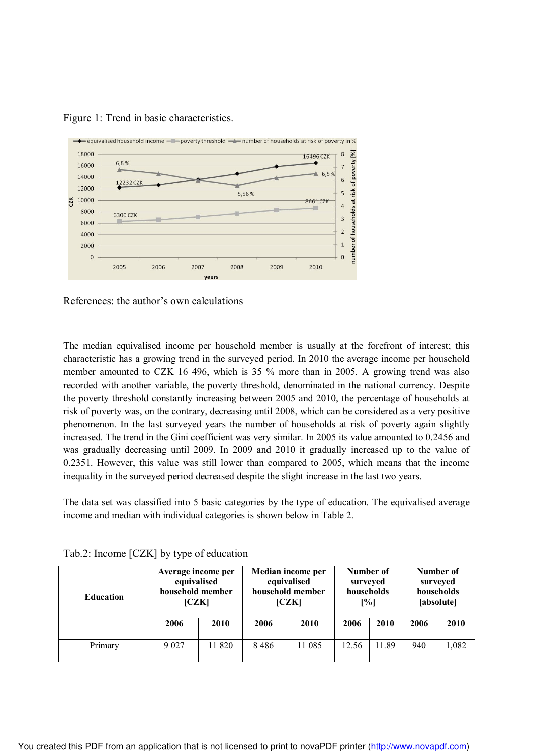

Figure 1: Trend in basic characteristics.

References: the author's own calculations

The median equivalised income per household member is usually at the forefront of interest; this characteristic has a growing trend in the surveyed period. In 2010 the average income per household member amounted to CZK 16 496, which is 35 % more than in 2005. A growing trend was also recorded with another variable, the poverty threshold, denominated in the national currency. Despite the poverty threshold constantly increasing between 2005 and 2010, the percentage of households at risk of poverty was, on the contrary, decreasing until 2008, which can be considered as a very positive phenomenon. In the last surveyed years the number of households at risk of poverty again slightly increased. The trend in the Gini coefficient was very similar. In 2005 its value amounted to 0.2456 and was gradually decreasing until 2009. In 2009 and 2010 it gradually increased up to the value of 0.2351. However, this value was still lower than compared to 2005, which means that the income inequality in the surveyed period decreased despite the slight increase in the last two years.

The data set was classified into 5 basic categories by the type of education. The equivalised average income and median with individual categories is shown below in Table 2.

| <b>Education</b> | Average income per<br>equivalised<br>household member<br>[CZK] |        | Median income per<br>equivalised<br>household member<br>[CZK] |        | Number of<br>surveyed<br>households<br>[%] |       | Number of<br>surveyed<br>households<br>[absolute] |       |
|------------------|----------------------------------------------------------------|--------|---------------------------------------------------------------|--------|--------------------------------------------|-------|---------------------------------------------------|-------|
|                  | 2006                                                           | 2010   | 2006                                                          | 2010   | 2006                                       | 2010  | 2006                                              | 2010  |
| Primary          | 9 0 2 7                                                        | 11 820 | 8486                                                          | 11 085 | 12.56                                      | 11.89 | 940                                               | 1,082 |

Tab.2: Income [CZK] by type of education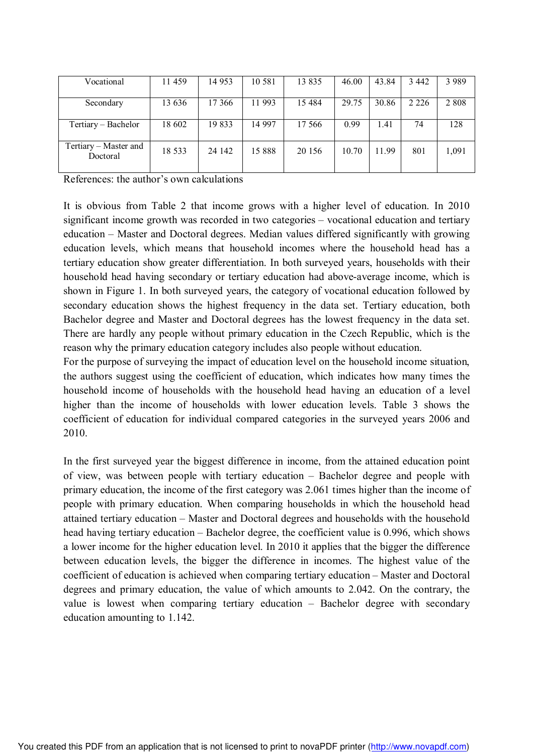| Vocational                        | 11459   | 14 9 53 | 10 5 8 1 | 13 8 35  | 46.00 | 43.84 | 3 4 4 2 | 3 9 8 9 |
|-----------------------------------|---------|---------|----------|----------|-------|-------|---------|---------|
| Secondary                         | 13 636  | 17 366  | 11 993   | 15 4 8 4 | 29.75 | 30.86 | 2 2 2 6 | 2 8 0 8 |
| Tertiary - Bachelor               | 18 602  | 19833   | 14 9 97  | 17566    | 0.99  | 1.41  | 74      | 128     |
| Tertiary - Master and<br>Doctoral | 18 5 33 | 24 142  | 15 888   | 20 15 6  | 10.70 | 11.99 | 801     | 1,091   |

References: the author's own calculations

It is obvious from Table 2 that income grows with a higher level of education. In 2010 significant income growth was recorded in two categories – vocational education and tertiary education – Master and Doctoral degrees. Median values differed significantly with growing education levels, which means that household incomes where the household head has a tertiary education show greater differentiation. In both surveyed years, households with their household head having secondary or tertiary education had above-average income, which is shown in Figure 1. In both surveyed years, the category of vocational education followed by secondary education shows the highest frequency in the data set. Tertiary education, both Bachelor degree and Master and Doctoral degrees has the lowest frequency in the data set. There are hardly any people without primary education in the Czech Republic, which is the reason why the primary education category includes also people without education.

For the purpose of surveying the impact of education level on the household income situation, the authors suggest using the coefficient of education, which indicates how many times the household income of households with the household head having an education of a level higher than the income of households with lower education levels. Table 3 shows the coefficient of education for individual compared categories in the surveyed years 2006 and 2010.

In the first surveyed year the biggest difference in income, from the attained education point of view, was between people with tertiary education – Bachelor degree and people with primary education, the income of the first category was 2.061 times higher than the income of people with primary education. When comparing households in which the household head attained tertiary education – Master and Doctoral degrees and households with the household head having tertiary education – Bachelor degree, the coefficient value is 0.996, which shows a lower income for the higher education level. In 2010 it applies that the bigger the difference between education levels, the bigger the difference in incomes. The highest value of the coefficient of education is achieved when comparing tertiary education – Master and Doctoral degrees and primary education, the value of which amounts to 2.042. On the contrary, the value is lowest when comparing tertiary education – Bachelor degree with secondary education amounting to 1.142.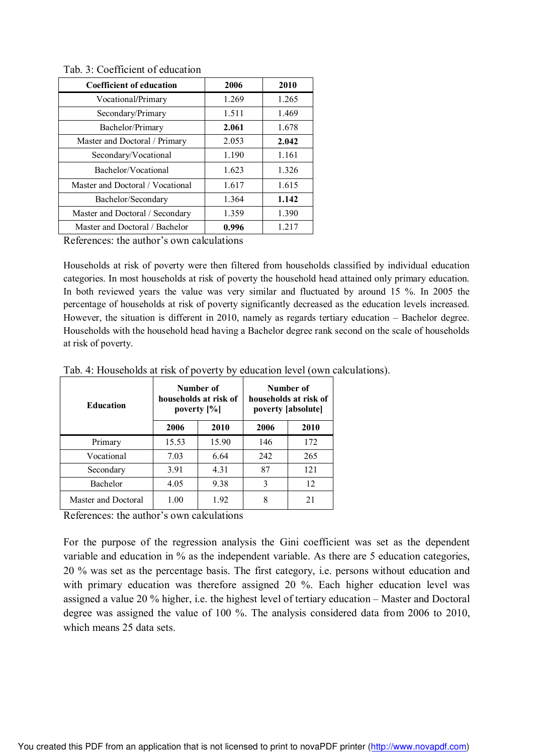|  |  |  | Tab. 3: Coefficient of education |
|--|--|--|----------------------------------|
|--|--|--|----------------------------------|

| <b>Coefficient of education</b>  | 2006  | 2010  |
|----------------------------------|-------|-------|
| Vocational/Primary               | 1.269 | 1.265 |
| Secondary/Primary                | 1.511 | 1.469 |
| Bachelor/Primary                 | 2.061 | 1.678 |
| Master and Doctoral / Primary    | 2.053 | 2.042 |
| Secondary/Vocational             | 1.190 | 1.161 |
| Bachelor/Vocational              | 1.623 | 1.326 |
| Master and Doctoral / Vocational | 1.617 | 1.615 |
| Bachelor/Secondary               | 1.364 | 1.142 |
| Master and Doctoral / Secondary  | 1.359 | 1.390 |
| Master and Doctoral / Bachelor   | 0.996 | 1.217 |

References: the author's own calculations

Households at risk of poverty were then filtered from households classified by individual education categories. In most households at risk of poverty the household head attained only primary education. In both reviewed years the value was very similar and fluctuated by around 15 %. In 2005 the percentage of households at risk of poverty significantly decreased as the education levels increased. However, the situation is different in 2010, namely as regards tertiary education – Bachelor degree. Households with the household head having a Bachelor degree rank second on the scale of households at risk of poverty.

| <b>Education</b>    |       | Number of<br>households at risk of<br>poverty $[\%]$ | Number of<br>households at risk of<br>poverty [absolute] |      |  |
|---------------------|-------|------------------------------------------------------|----------------------------------------------------------|------|--|
|                     | 2006  | 2010                                                 | 2006                                                     | 2010 |  |
| Primary             | 15.53 | 15.90                                                | 146                                                      | 172  |  |
| Vocational          | 7.03  | 6.64                                                 | 242                                                      | 265  |  |
| Secondary           | 3.91  | 4.31                                                 | 87                                                       | 121  |  |
| Bachelor            | 4.05  | 9.38                                                 | 3                                                        | 12   |  |
| Master and Doctoral | 1.00  | 1.92                                                 | 8                                                        | 21   |  |

Tab. 4: Households at risk of poverty by education level (own calculations).

References: the author's own calculations

For the purpose of the regression analysis the Gini coefficient was set as the dependent variable and education in % as the independent variable. As there are 5 education categories, 20 % was set as the percentage basis. The first category, i.e. persons without education and with primary education was therefore assigned 20 %. Each higher education level was assigned a value 20 % higher, i.e. the highest level of tertiary education – Master and Doctoral degree was assigned the value of 100 %. The analysis considered data from 2006 to 2010, which means 25 data sets.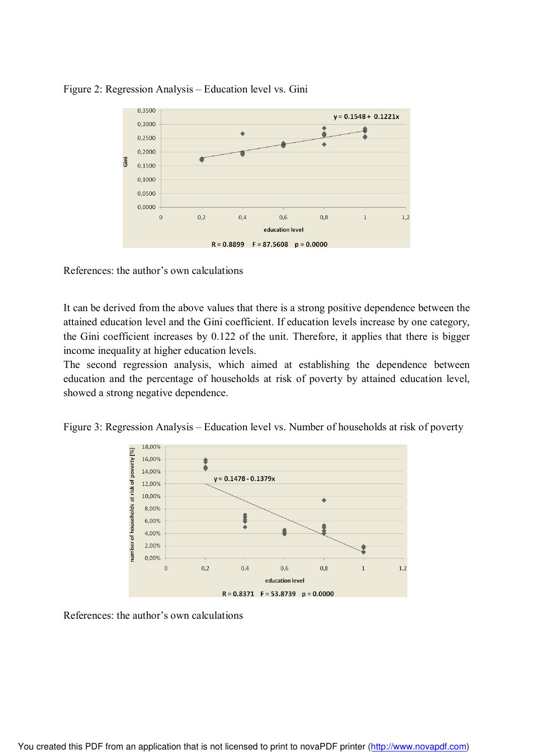

#### Figure 2: Regression Analysis – Education level vs. Gini

References: the author's own calculations

It can be derived from the above values that there is a strong positive dependence between the attained education level and the Gini coefficient. If education levels increase by one category, the Gini coefficient increases by 0.122 of the unit. Therefore, it applies that there is bigger income inequality at higher education levels.

The second regression analysis, which aimed at establishing the dependence between education and the percentage of households at risk of poverty by attained education level, showed a strong negative dependence.

Figure 3: Regression Analysis – Education level vs. Number of households at risk of poverty



References: the author's own calculations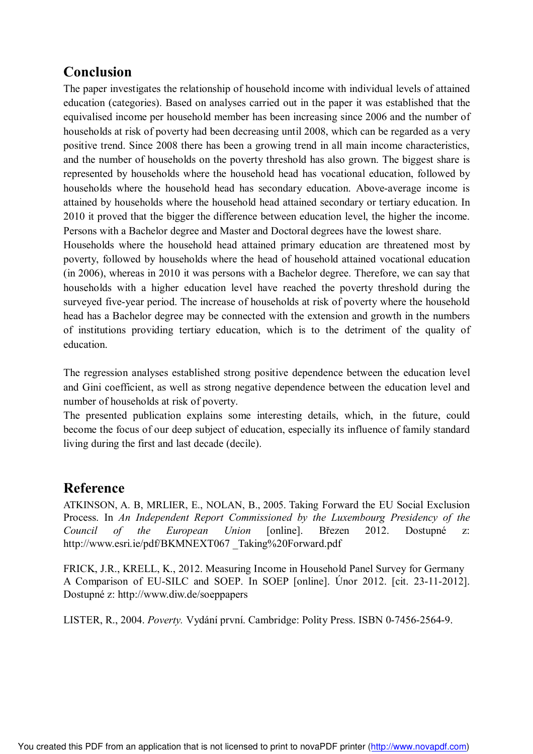# **Conclusion**

The paper investigates the relationship of household income with individual levels of attained education (categories). Based on analyses carried out in the paper it was established that the equivalised income per household member has been increasing since 2006 and the number of households at risk of poverty had been decreasing until 2008, which can be regarded as a very positive trend. Since 2008 there has been a growing trend in all main income characteristics, and the number of households on the poverty threshold has also grown. The biggest share is represented by households where the household head has vocational education, followed by households where the household head has secondary education. Above-average income is attained by households where the household head attained secondary or tertiary education. In 2010 it proved that the bigger the difference between education level, the higher the income. Persons with a Bachelor degree and Master and Doctoral degrees have the lowest share.

Households where the household head attained primary education are threatened most by poverty, followed by households where the head of household attained vocational education (in 2006), whereas in 2010 it was persons with a Bachelor degree. Therefore, we can say that households with a higher education level have reached the poverty threshold during the surveyed five-year period. The increase of households at risk of poverty where the household head has a Bachelor degree may be connected with the extension and growth in the numbers of institutions providing tertiary education, which is to the detriment of the quality of education.

The regression analyses established strong positive dependence between the education level and Gini coefficient, as well as strong negative dependence between the education level and number of households at risk of poverty.

The presented publication explains some interesting details, which, in the future, could become the focus of our deep subject of education, especially its influence of family standard living during the first and last decade (decile).

## **Reference**

ATKINSON, A. B, MRLIER, E., NOLAN, B., 2005. Taking Forward the EU Social Exclusion Process. In *An Independent Report Commissioned by the Luxembourg Presidency of the Council of the European Union* [online]. Březen 2012. Dostupné z: http://www.esri.ie/pdf/BKMNEXT067 \_Taking%20Forward.pdf

FRICK, J.R., KRELL, K., 2012. Measuring Income in Household Panel Survey for Germany A Comparison of EU-SILC and SOEP. In SOEP [online]. Únor 2012. [cit. 23-11-2012]. Dostupné z: http://www.diw.de/soeppapers

LISTER, R., 2004. *Poverty.* Vydání první. Cambridge: Polity Press. ISBN 0-7456-2564-9.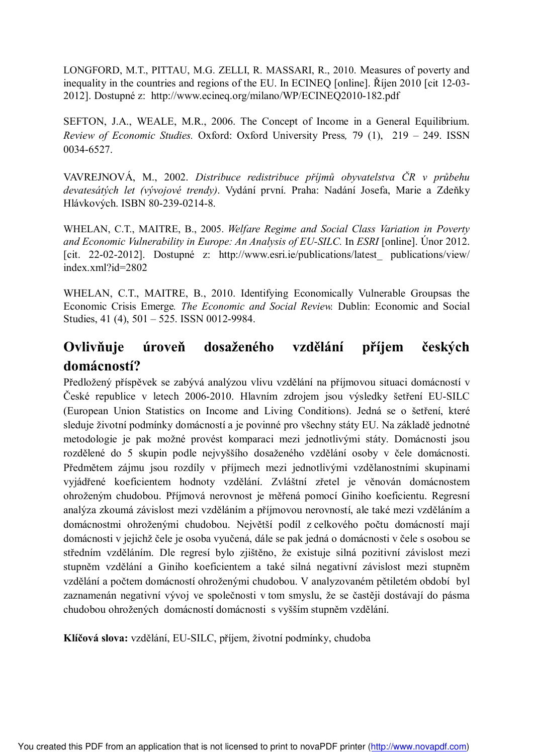LONGFORD, M.T., PITTAU, M.G. ZELLI, R. MASSARI, R., 2010. Measures of poverty and inequality in the countries and regions of the EU. In ECINEQ [online]. Říjen 2010 [cit 12-03- 2012]. Dostupné z: http://www.ecineq.org/milano/WP/ECINEQ2010-182.pdf

SEFTON, J.A., WEALE, M.R., 2006. The Concept of Income in a General Equilibrium. *Review of Economic Studies.* Oxford: Oxford University Press*,* 79 (1), 219 – 249. ISSN 0034-6527.

VAVREJNOVÁ, M., 2002. *Distribuce redistribuce příjmů obyvatelstva ČR v průbehu devatesátých let (vývojové trendy)*. Vydání první. Praha: Nadání Josefa, Marie a Zdeňky Hlávkových. ISBN 80-239-0214-8.

WHELAN, C.T., MAITRE, B., 2005. *Welfare Regime and Social Class Variation in Poverty and Economic Vulnerability in Europe: An Analysis of EU-SILC.* In *ESRI* [online]. Únor 2012. [cit. 22-02-2012]. Dostupné z: http://www.esri.ie/publications/latest\_ publications/view/ index.xml?id=2802

WHELAN, C.T., MAITRE, B., 2010. Identifying Economically Vulnerable Groupsas the Economic Crisis Emerge*. The Economic and Social Review.* Dublin: Economic and Social Studies, 41 (4), 501 – 525. ISSN 0012-9984.

# **Ovlivňuje úroveň dosaženého vzdělání příjem českých domácností?**

Předložený příspěvek se zabývá analýzou vlivu vzdělání na příjmovou situaci domácností v České republice v letech 2006-2010. Hlavním zdrojem jsou výsledky šetření EU-SILC (European Union Statistics on Income and Living Conditions). Jedná se o šetření, které sleduje životní podmínky domácností a je povinné pro všechny státy EU. Na základě jednotné metodologie je pak možné provést komparaci mezi jednotlivými státy. Domácnosti jsou rozdělené do 5 skupin podle nejvyššího dosaženého vzdělání osoby v čele domácnosti. Předmětem zájmu jsou rozdíly v příjmech mezi jednotlivými vzdělanostními skupinami vyjádřené koeficientem hodnoty vzdělání. Zvláštní zřetel je věnován domácnostem ohroženým chudobou. Příjmová nerovnost je měřená pomocí Giniho koeficientu. Regresní analýza zkoumá závislost mezi vzděláním a příjmovou nerovností, ale také mezi vzděláním a domácnostmi ohroženými chudobou. Největší podíl z celkového počtu domácností mají domácnosti v jejichž čele je osoba vyučená, dále se pak jedná o domácnosti v čele s osobou se středním vzděláním. Dle regresí bylo zjištěno, že existuje silná pozitivní závislost mezi stupněm vzdělání a Giniho koeficientem a také silná negativní závislost mezi stupněm vzdělání a počtem domácností ohroženými chudobou. V analyzovaném pětiletém období byl zaznamenán negativní vývoj ve společnosti v tom smyslu, že se častěji dostávají do pásma chudobou ohrožených domácností domácnosti s vyšším stupněm vzdělání.

**Klíčová slova:** vzdělání, EU-SILC, příjem, životní podmínky, chudoba